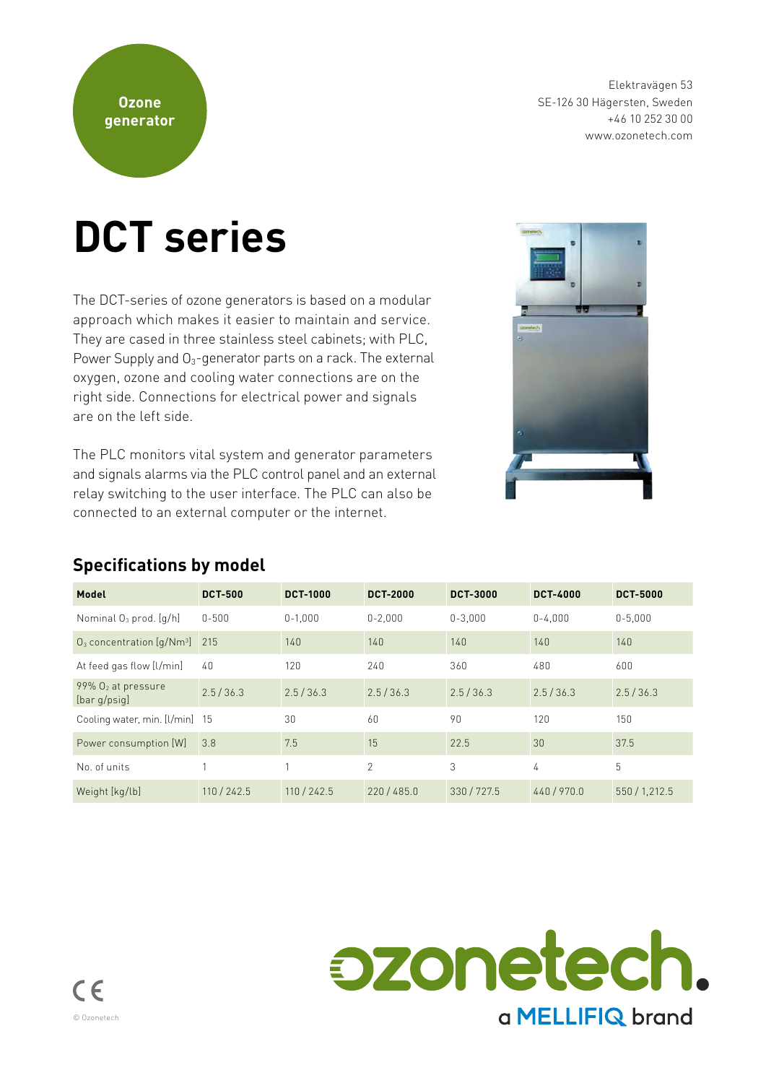Elektravägen 53 SE-126 30 Hägersten, Sweden +46 10 252 30 00 www.ozonetech.com

# **DCT series**

The DCT-series of ozone generators is based on a modular approach which makes it easier to maintain and service. They are cased in three stainless steel cabinets; with PLC, Power Supply and  $O_3$ -generator parts on a rack. The external oxygen, ozone and cooling water connections are on the right side. Connections for electrical power and signals are on the left side.

The PLC monitors vital system and generator parameters and signals alarms via the PLC control panel and an external relay switching to the user interface. The PLC can also be connected to an external computer or the internet.



#### **Specifications by model**

| Model                                             | <b>DCT-500</b> | <b>DCT-1000</b> | <b>DCT-2000</b> | <b>DCT-3000</b> | <b>DCT-4000</b> | <b>DCT-5000</b> |
|---------------------------------------------------|----------------|-----------------|-----------------|-----------------|-----------------|-----------------|
| Nominal O <sub>3</sub> prod. [q/h]                | $0 - 500$      | $0 - 1.000$     | $0 - 2.000$     | $0 - 3.000$     | $0 - 4.000$     | $0 - 5.000$     |
| $O_3$ concentration $[q/Nm^3]$ 215                |                | 140             | 140             | 140             | 140             | 140             |
| At feed gas flow [l/min]                          | $40^{1}$       | 120             | 240             | 360             | 480             | 600             |
| $99\%$ O <sub>2</sub> at pressure<br>[bar q/psiq] | 2.5/36.3       | 2.5/36.3        | 2.5/36.3        | 2.5/36.3        | 2.5/36.3        | 2.5/36.3        |
| Cooling water, min. [I/min] 15                    |                | 30              | 60              | 90              | 120             | 150             |
| Power consumption [W]                             | 3.8            | 7.5             | 15              | 22.5            | 30              | 37.5            |
| No. of units                                      |                | $\overline{1}$  | $\mathfrak{D}$  | 3               | 4               | 5               |
| Weight [kg/lb]                                    | 110 / 242.5    | 110/242.5       | 220/485.0       | 330/727.5       | 440/970.0       | 550 / 1,212.5   |

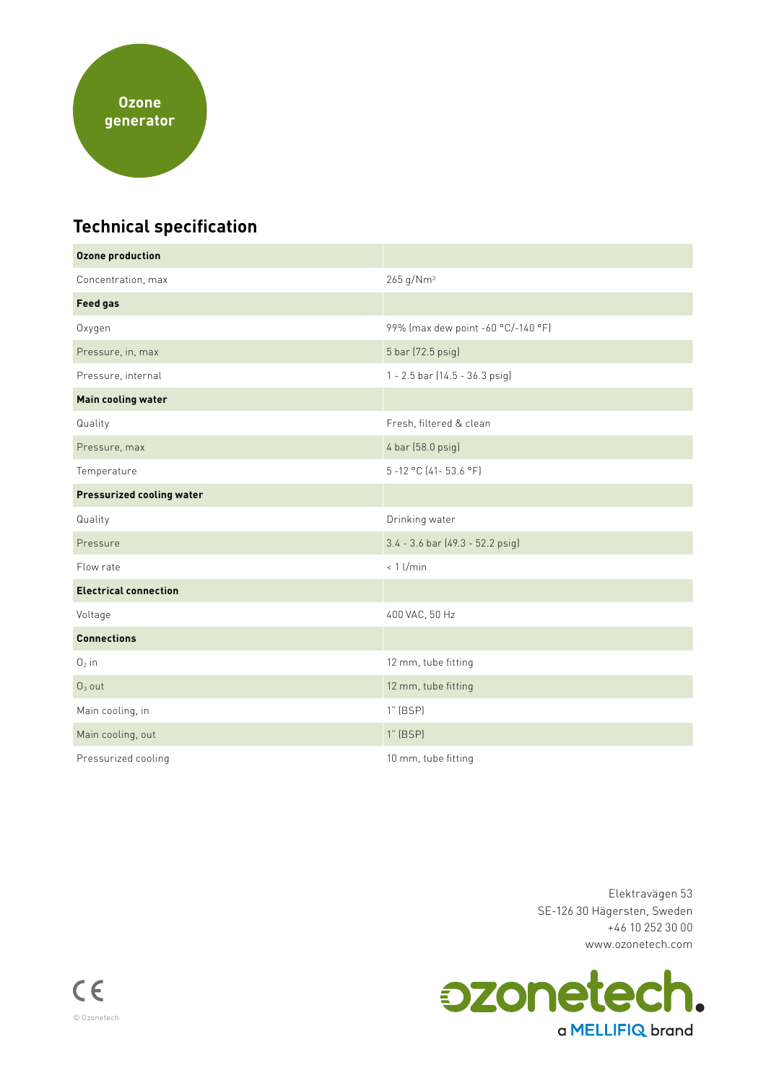

# **Technical specification**

| <b>Ozone production</b>          |                                    |  |  |
|----------------------------------|------------------------------------|--|--|
| Concentration, max               | 265 g/Nm <sup>3</sup>              |  |  |
| <b>Feed gas</b>                  |                                    |  |  |
| Oxygen                           | 99% (max dew point -60 °C/-140 °F) |  |  |
| Pressure, in, max                | 5 bar (72.5 psig)                  |  |  |
| Pressure, internal               | 1 - 2.5 bar (14.5 - 36.3 psig)     |  |  |
| <b>Main cooling water</b>        |                                    |  |  |
| Quality                          | Fresh, filtered & clean            |  |  |
| Pressure, max                    | 4 bar (58.0 psig)                  |  |  |
| Temperature                      | 5-12 °C (41-53.6 °F)               |  |  |
| <b>Pressurized cooling water</b> |                                    |  |  |
| Quality                          | Drinking water                     |  |  |
|                                  |                                    |  |  |
| Pressure                         | 3.4 - 3.6 bar (49.3 - 52.2 psig)   |  |  |
| Flow rate                        | $< 1$ l/min                        |  |  |
| <b>Electrical connection</b>     |                                    |  |  |
| Voltage                          | 400 VAC, 50 Hz                     |  |  |
| <b>Connections</b>               |                                    |  |  |
| $02$ in                          | 12 mm, tube fitting                |  |  |
| $O3$ out                         | 12 mm, tube fitting                |  |  |
| Main cooling, in                 | 1" (BSP)                           |  |  |
| Main cooling, out                | $1"$ (BSP)                         |  |  |

Elektravägen 53 SE-126 30 Hägersten, Sweden +46 10 252 30 00 www.ozonetech.com